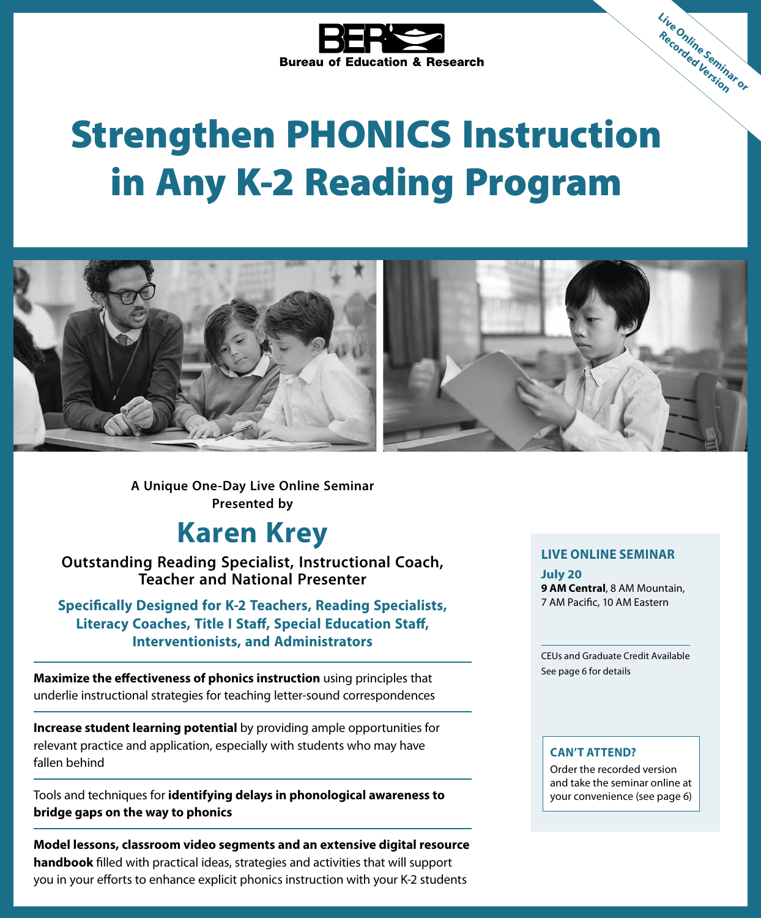

# Strengthen PHONICS Instruction in Any K-2 Reading Program



**A Unique One-Day Live Online Seminar Presented by**

# **Karen Krey**

**Outstanding Reading Specialist, Instructional Coach, Teacher and National Presenter**

**Specifically Designed for K-2 Teachers, Reading Specialists, Literacy Coaches, Title I Staff, Special Education Staff, Interventionists, and Administrators**

**Maximize the effectiveness of phonics instruction** using principles that underlie instructional strategies for teaching letter-sound correspondences

**Increase student learning potential** by providing ample opportunities for relevant practice and application, especially with students who may have fallen behind

Tools and techniques for **identifying delays in phonological awareness to bridge gaps on the way to phonics**

**Model lessons, classroom video segments and an extensive digital resource handbook** filled with practical ideas, strategies and activities that will support you in your efforts to enhance explicit phonics instruction with your K-2 students

#### **LIVE ONLINE SEMINAR**

**Live Online Seminar or Recorded Version**

**July 20 9 AM Central**, 8 AM Mountain, 7 AM Pacific, 10 AM Eastern

CEUs and Graduate Credit Available See page 6 for details

#### **CAN'T ATTEND?**

Order the recorded version and take the seminar online at your convenience (see page 6)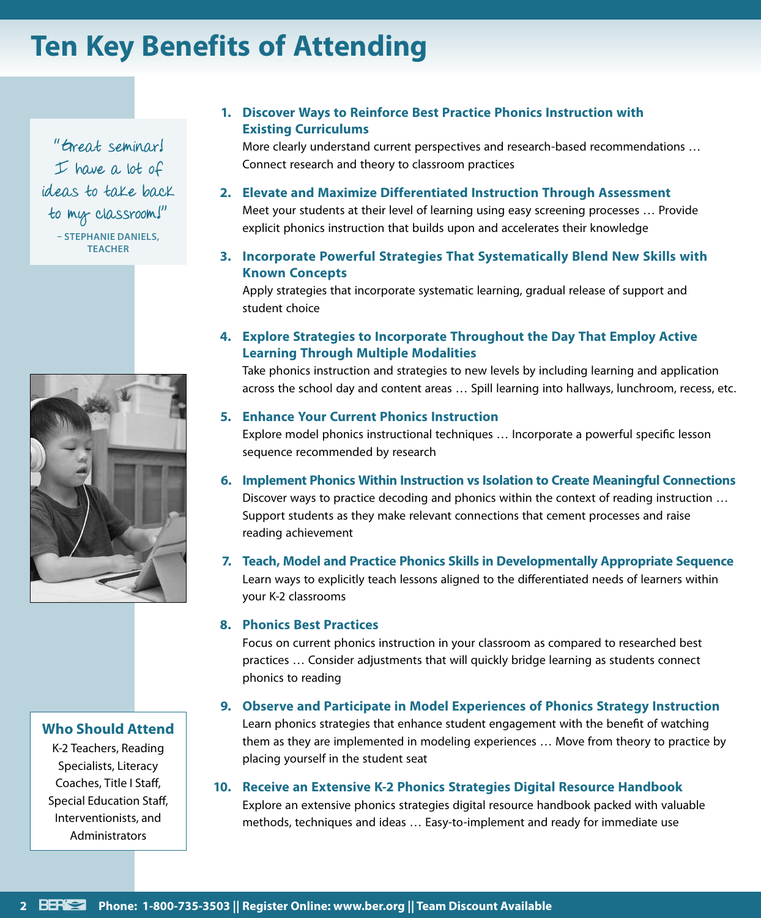# **Ten Key Benefits of Attending**

"Great seminar!  $I$  have a lot of ideas to take back to my classroom!"

> **– STEPHANIE DANIELS, TEACHER**



#### **Who Should Attend**

K-2 Teachers, Reading Specialists, Literacy Coaches, Title I Staff, Special Education Staff, Interventionists, and **Administrators** 

#### **1. Discover Ways to Reinforce Best Practice Phonics Instruction with Existing Curriculums**

More clearly understand current perspectives and research-based recommendations … Connect research and theory to classroom practices

#### **2. Elevate and Maximize Differentiated Instruction Through Assessment**

Meet your students at their level of learning using easy screening processes … Provide explicit phonics instruction that builds upon and accelerates their knowledge

**3. Incorporate Powerful Strategies That Systematically Blend New Skills with Known Concepts**

Apply strategies that incorporate systematic learning, gradual release of support and student choice

#### **4. Explore Strategies to Incorporate Throughout the Day That Employ Active Learning Through Multiple Modalities**

Take phonics instruction and strategies to new levels by including learning and application across the school day and content areas … Spill learning into hallways, lunchroom, recess, etc.

#### **5. Enhance Your Current Phonics Instruction**

Explore model phonics instructional techniques … Incorporate a powerful specific lesson sequence recommended by research

- **6. Implement Phonics Within Instruction vs Isolation to Create Meaningful Connections** Discover ways to practice decoding and phonics within the context of reading instruction … Support students as they make relevant connections that cement processes and raise reading achievement
- **7. Teach, Model and Practice Phonics Skills in Developmentally Appropriate Sequence** Learn ways to explicitly teach lessons aligned to the differentiated needs of learners within your K-2 classrooms

#### **8. Phonics Best Practices**

Focus on current phonics instruction in your classroom as compared to researched best practices … Consider adjustments that will quickly bridge learning as students connect phonics to reading

#### **9. Observe and Participate in Model Experiences of Phonics Strategy Instruction**

Learn phonics strategies that enhance student engagement with the benefit of watching them as they are implemented in modeling experiences … Move from theory to practice by placing yourself in the student seat

#### **10. Receive an Extensive K-2 Phonics Strategies Digital Resource Handbook**

Explore an extensive phonics strategies digital resource handbook packed with valuable methods, techniques and ideas … Easy-to-implement and ready for immediate use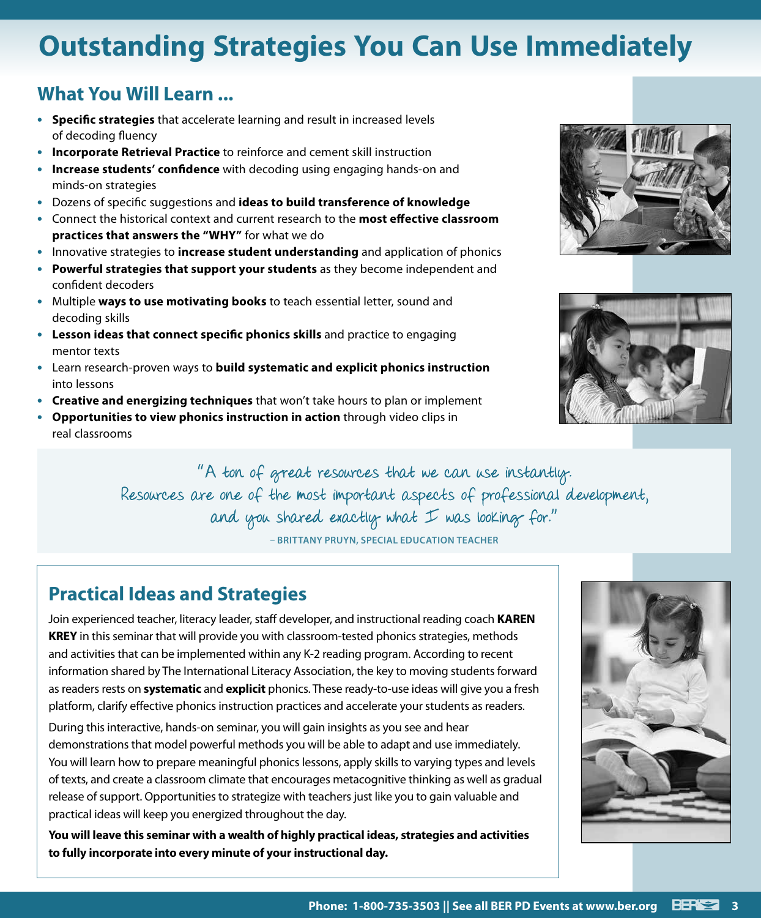# **Outstanding Strategies You Can Use Immediately**

### **What You Will Learn ...**

- **• Specific strategies** that accelerate learning and result in increased levels of decoding fluency
- **• Incorporate Retrieval Practice** to reinforce and cement skill instruction
- **• Increase students' confidence** with decoding using engaging hands-on and minds-on strategies
- **•** Dozens of specific suggestions and **ideas to build transference of knowledge**
- **•** Connect the historical context and current research to the **most effective classroom practices that answers the "WHY"** for what we do
- **•** Innovative strategies to **increase student understanding** and application of phonics
- **• Powerful strategies that support your students** as they become independent and confident decoders
- **•** Multiple **ways to use motivating books** to teach essential letter, sound and decoding skills
- **• Lesson ideas that connect specific phonics skills** and practice to engaging mentor texts
- **•** Learn research-proven ways to **build systematic and explicit phonics instruction**  into lessons
- **• Creative and energizing techniques** that won't take hours to plan or implement
- **• Opportunities to view phonics instruction in action** through video clips in real classrooms





"A ton of great resources that we can use instantly. Resources are one of the most important aspects of professional development, and you shared exactly what  $I$  was looking for." **– BRITTANY PRUYN, SPECIAL EDUCATION TEACHER**

**Practical Ideas and Strategies**

Join experienced teacher, literacy leader, staff developer, and instructional reading coach **KAREN KREY** in this seminar that will provide you with classroom-tested phonics strategies, methods and activities that can be implemented within any K-2 reading program. According to recent information shared by The International Literacy Association, the key to moving students forward as readers rests on **systematic** and **explicit** phonics. These ready-to-use ideas will give you a fresh platform, clarify effective phonics instruction practices and accelerate your students as readers.

During this interactive, hands-on seminar, you will gain insights as you see and hear demonstrations that model powerful methods you will be able to adapt and use immediately. You will learn how to prepare meaningful phonics lessons, apply skills to varying types and levels of texts, and create a classroom climate that encourages metacognitive thinking as well as gradual release of support. Opportunities to strategize with teachers just like you to gain valuable and practical ideas will keep you energized throughout the day.

**You will leave this seminar with a wealth of highly practical ideas, strategies and activities to fully incorporate into every minute of your instructional day.**

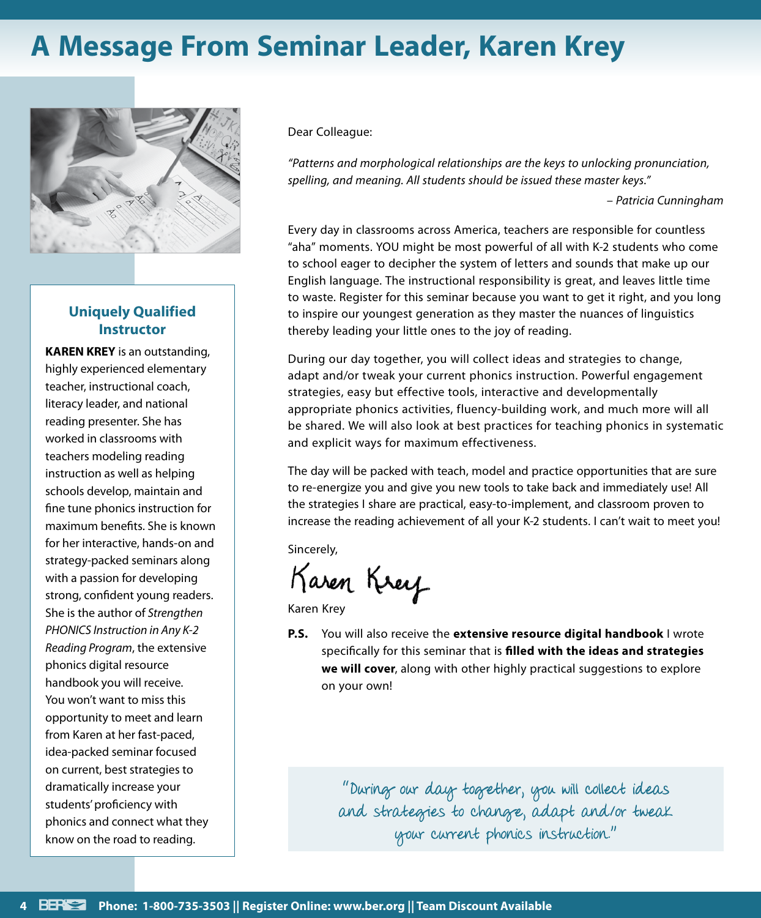# **A Message From Seminar Leader, Karen Krey**



#### **Uniquely Qualified Instructor**

**KAREN KREY** is an outstanding, highly experienced elementary teacher, instructional coach, literacy leader, and national reading presenter. She has worked in classrooms with teachers modeling reading instruction as well as helping schools develop, maintain and fine tune phonics instruction for maximum benefits. She is known for her interactive, hands-on and strategy-packed seminars along with a passion for developing strong, confident young readers. She is the author of *Strengthen PHONICS Instruction in Any K-2 Reading Program*, the extensive phonics digital resource handbook you will receive. You won't want to miss this opportunity to meet and learn from Karen at her fast-paced, idea-packed seminar focused on current, best strategies to dramatically increase your students' proficiency with phonics and connect what they know on the road to reading.

Dear Colleague:

*"Patterns and morphological relationships are the keys to unlocking pronunciation, spelling, and meaning. All students should be issued these master keys."*

*– Patricia Cunningham*

Every day in classrooms across America, teachers are responsible for countless "aha" moments. YOU might be most powerful of all with K-2 students who come to school eager to decipher the system of letters and sounds that make up our English language. The instructional responsibility is great, and leaves little time to waste. Register for this seminar because you want to get it right, and you long to inspire our youngest generation as they master the nuances of linguistics thereby leading your little ones to the joy of reading.

During our day together, you will collect ideas and strategies to change, adapt and/or tweak your current phonics instruction. Powerful engagement strategies, easy but effective tools, interactive and developmentally appropriate phonics activities, fluency-building work, and much more will all be shared. We will also look at best practices for teaching phonics in systematic and explicit ways for maximum effectiveness.

The day will be packed with teach, model and practice opportunities that are sure to re-energize you and give you new tools to take back and immediately use! All the strategies I share are practical, easy-to-implement, and classroom proven to increase the reading achievement of all your K-2 students. I can't wait to meet you!

Sincerely,

Karen Krey

Karen Krey

**P.S.** You will also receive the **extensive resource digital handbook** I wrote specifically for this seminar that is **filled with the ideas and strategies we will cover**, along with other highly practical suggestions to explore on your own!

> "During our day together, you will collect ideas and strategies to change, adapt and/or tweak your current phonics instruction."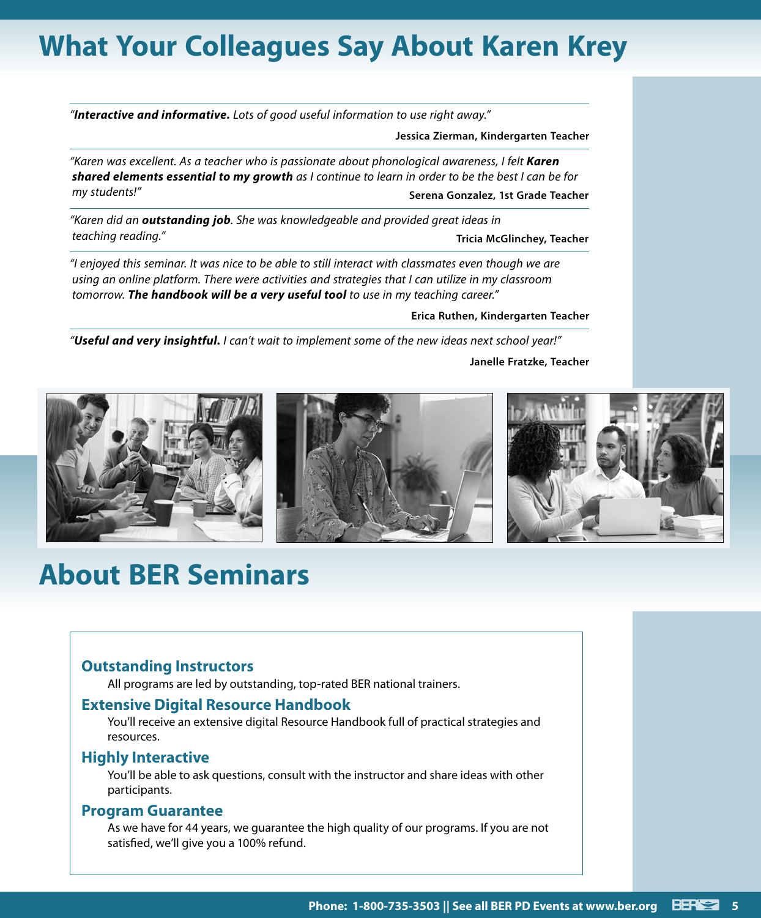# **What Your Colleagues Say About Karen Krey**

*"Interactive and informative. Lots of good useful information to use right away."*

**Jessica Zierman, Kindergarten Teacher**

*"Karen was excellent. As a teacher who is passionate about phonological awareness, I felt Karen shared elements essential to my growth as I continue to learn in order to be the best I can be for my students!"* **Serena Gonzalez, 1st Grade Teacher**

*"Karen did an outstanding job. She was knowledgeable and provided great ideas in teaching reading."* **Tricia McGlinchey, Teacher**

*"I enjoyed this seminar. It was nice to be able to still interact with classmates even though we are using an online platform. There were activities and strategies that I can utilize in my classroom tomorrow. The handbook will be a very useful tool to use in my teaching career."*

#### **Erica Ruthen, Kindergarten Teacher**

*"Useful and very insightful. I can't wait to implement some of the new ideas next school year!"*

**Janelle Fratzke, Teacher**



# **About BER Seminars**

#### **Outstanding Instructors**

All programs are led by outstanding, top-rated BER national trainers.

#### **Extensive Digital Resource Handbook**

You'll receive an extensive digital Resource Handbook full of practical strategies and resources.

#### **Highly Interactive**

You'll be able to ask questions, consult with the instructor and share ideas with other participants.

#### **Program Guarantee**

As we have for 44 years, we guarantee the high quality of our programs. If you are not satisfied, we'll give you a 100% refund.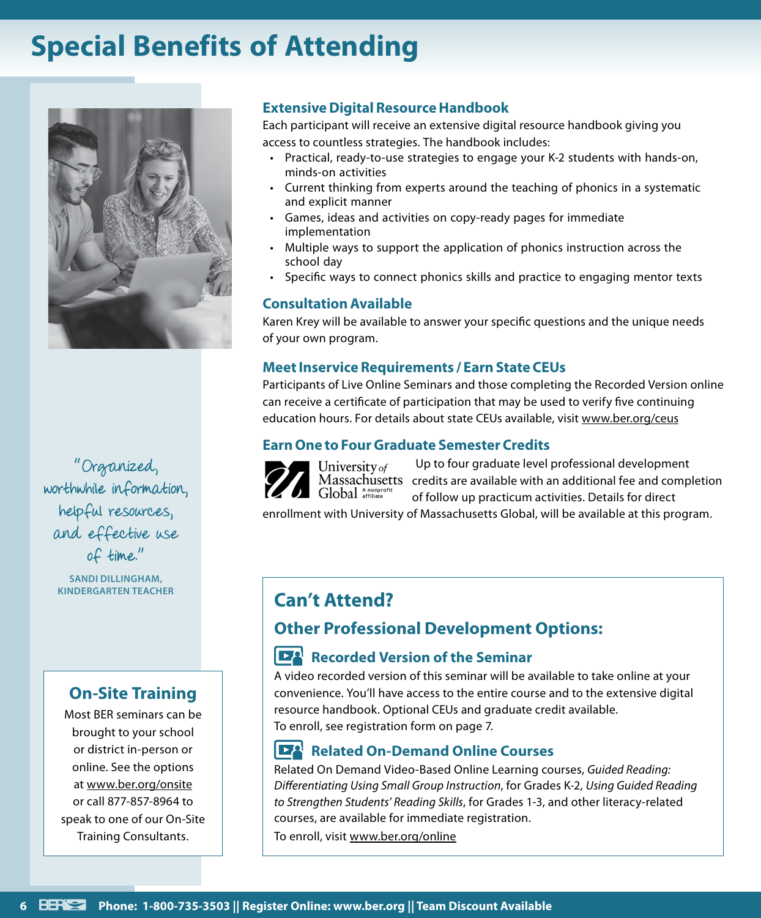# **Special Benefits of Attending**



"Organized, worthwhile information, helpful resources, and effective use of time."

**SANDI DILLINGHAM,** 

### **On-Site Training**

Most BER seminars can be brought to your school or district in-person or online. See the options at www.ber.org/onsite or call 877-857-8964 to speak to one of our On-Site Training Consultants.

#### **Extensive Digital Resource Handbook**

Each participant will receive an extensive digital resource handbook giving you access to countless strategies. The handbook includes:

- Practical, ready-to-use strategies to engage your K-2 students with hands-on, minds-on activities
- Current thinking from experts around the teaching of phonics in a systematic and explicit manner
- Games, ideas and activities on copy-ready pages for immediate implementation
- Multiple ways to support the application of phonics instruction across the school day
- Specific ways to connect phonics skills and practice to engaging mentor texts

#### **Consultation Available**

Karen Krey will be available to answer your specific questions and the unique needs of your own program.

#### **Meet Inservice Requirements / Earn State CEUs**

Participants of Live Online Seminars and those completing the Recorded Version online can receive a certificate of participation that may be used to verify five continuing education hours. For details about state CEUs available, visit www.ber.org/ceus

#### **Earn One to Four Graduate Semester Credits**



Up to four graduate level professional development Massachusetts credits are available with an additional fee and completion of follow up practicum activities. Details for direct

enrollment with University of Massachusetts Global, will be available at this program.

### **KINDERGARTEN TEACHER Can't Attend?**

### **Other Professional Development Options:**

#### **Recorded Version of the Seminar**

A video recorded version of this seminar will be available to take online at your convenience. You'll have access to the entire course and to the extensive digital resource handbook. Optional CEUs and graduate credit available. To enroll, see registration form on page 7.

### **Related On-Demand Online Courses**

Related On Demand Video-Based Online Learning courses, *Guided Reading: Differentiating Using Small Group Instruction*, for Grades K-2, *Using Guided Reading to Strengthen Students' Reading Skills*, for Grades 1-3, and other literacy-related courses, are available for immediate registration.

To enroll, visit www.ber.org/online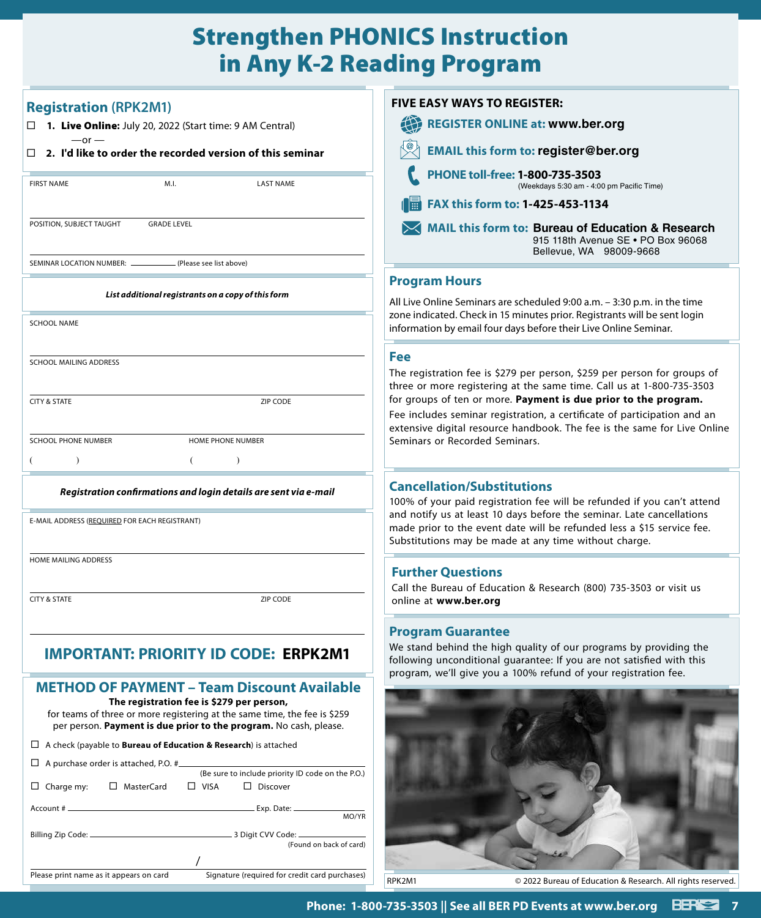### Strengthen PHONICS Instruction in Any K-2 Reading Program

|                                                                                                                                                        | M.I.                                               | <b>LAST NAME</b>                                                                                                                                                                                     |
|--------------------------------------------------------------------------------------------------------------------------------------------------------|----------------------------------------------------|------------------------------------------------------------------------------------------------------------------------------------------------------------------------------------------------------|
| POSITION, SUBJECT TAUGHT                                                                                                                               | <b>GRADE LEVEL</b>                                 |                                                                                                                                                                                                      |
| SEMINAR LOCATION NUMBER: _                                                                                                                             | (Please see list above)                            |                                                                                                                                                                                                      |
|                                                                                                                                                        | List additional registrants on a copy of this form |                                                                                                                                                                                                      |
| <b>SCHOOL NAME</b>                                                                                                                                     |                                                    |                                                                                                                                                                                                      |
| <b>SCHOOL MAILING ADDRESS</b>                                                                                                                          |                                                    |                                                                                                                                                                                                      |
| <b>CITY &amp; STATE</b>                                                                                                                                |                                                    | ZIP CODE                                                                                                                                                                                             |
| <b>SCHOOL PHONE NUMBER</b>                                                                                                                             |                                                    | <b>HOME PHONE NUMBER</b>                                                                                                                                                                             |
| $\mathcal{E}$                                                                                                                                          | €                                                  | $\mathcal{E}$                                                                                                                                                                                        |
| E-MAIL ADDRESS (REQUIRED FOR EACH REGISTRANT)<br>HOME MAILING ADDRESS                                                                                  |                                                    |                                                                                                                                                                                                      |
| <b>CITY &amp; STATE</b>                                                                                                                                |                                                    | ZIP CODE                                                                                                                                                                                             |
| <b>IMPORTANT: PRIORITY ID CO</b>                                                                                                                       |                                                    | EDDKJM1<br>DE:                                                                                                                                                                                       |
|                                                                                                                                                        | The registration fee is \$279 per person,          | <b>METHOD OF PAYMENT - Team Discount Available</b><br>for teams of three or more registering at the same time, the fee is \$259<br>per person. Payment is due prior to the program. No cash, please. |
|                                                                                                                                                        |                                                    |                                                                                                                                                                                                      |
|                                                                                                                                                        |                                                    |                                                                                                                                                                                                      |
| $\Box$ A check (payable to <b>Bureau of Education &amp; Research</b> ) is attached<br>$\Box$ A purchase order is attached, P.O. #<br>$\Box$ Charge my: | □ MasterCard<br>$\Box$ VISA                        | (Be sure to include priority ID code on the P.O.)<br>$\Box$ Discover                                                                                                                                 |

### **FIVE EASY WAYS TO REGISTER:**

| <b>REGISTER ONLINE at: www.ber.org</b>                                       |                         |                                                                                         |  |  |
|------------------------------------------------------------------------------|-------------------------|-----------------------------------------------------------------------------------------|--|--|
| <b>EMAIL this form to: register@ber.org</b>                                  |                         |                                                                                         |  |  |
| PHONE toll-free: 1-800-735-3503<br>(Weekdays 5:30 am - 4:00 pm Pacific Time) |                         |                                                                                         |  |  |
| <b>FAX this form to: 1-425-453-1134</b>                                      |                         |                                                                                         |  |  |
|                                                                              | Bellevue, WA 98009-9668 | MAIL this form to: Bureau of Education & Research<br>915 118th Avenue SE . PO Box 96068 |  |  |

#### **Program Hours**

All Live Online Seminars are scheduled 9:00 a.m. – 3:30 p.m. in the time zone indicated. Check in 15 minutes prior. Registrants will be sent login information by email four days before their Live Online Seminar.

#### **Fee**

The registration fee is \$279 per person, \$259 per person for groups of three or more registering at the same time. Call us at 1-800-735-3503 for groups of ten or more. **Payment is due prior to the program.**

Fee includes seminar registration, a certificate of participation and an extensive digital resource handbook. The fee is the same for Live Online Seminars or Recorded Seminars.

#### **Cancellation/Substitutions**

100% of your paid registration fee will be refunded if you can't attend and notify us at least 10 days before the seminar. Late cancellations made prior to the event date will be refunded less a \$15 service fee. Substitutions may be made at any time without charge.

#### **Further Questions**

Call the Bureau of Education & Research (800) 735-3503 or visit us online at **www.ber.org**

#### **Program Guarantee**

We stand behind the high quality of our programs by providing the following unconditional guarantee: If you are not satisfied with this program, we'll give you a 100% refund of your registration fee.



RPK2M1 © 2022 Bureau of Education & Research. All rights reserved.